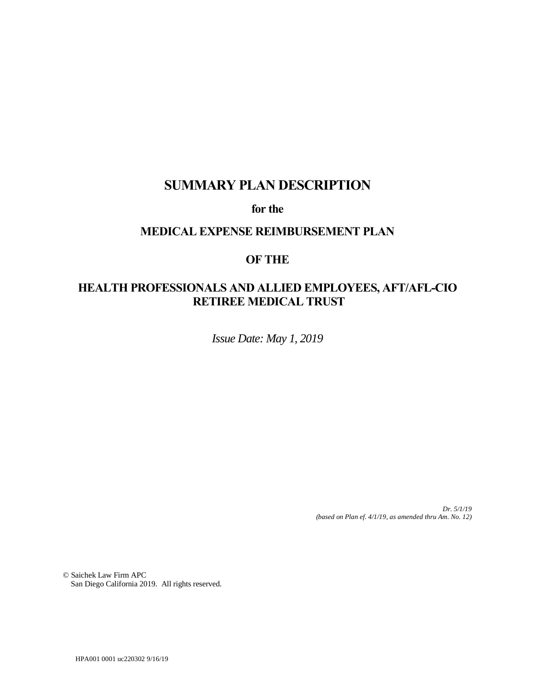# **SUMMARY PLAN DESCRIPTION**

**for the**

# **MEDICAL EXPENSE REIMBURSEMENT PLAN**

# **OF THE**

# **HEALTH PROFESSIONALS AND ALLIED EMPLOYEES, AFT/AFL-CIO RETIREE MEDICAL TRUST**

*Issue Date: May 1, 2019*

*Dr. 5/1/19 (based on Plan ef. 4/1/19, as amended thru Am. No. 12)*

© Saichek Law Firm APC San Diego California 2019. All rights reserved.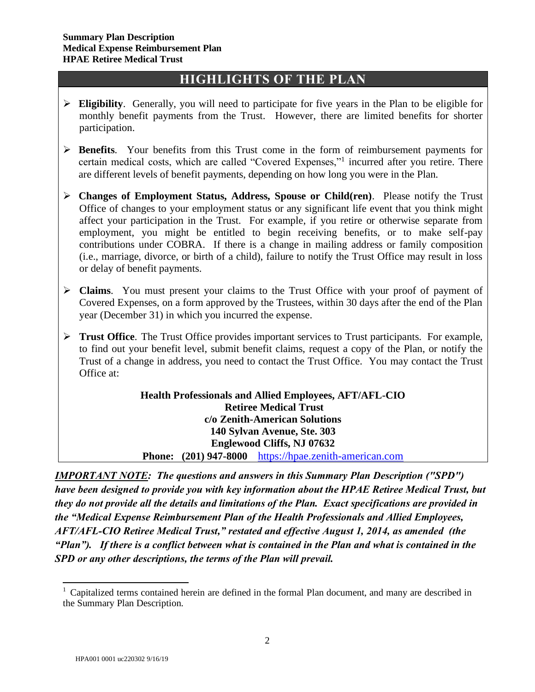# **HIGHLIGHTS OF THE PLAN**

- ➢ **Eligibility**. Generally, you will need to participate for five years in the Plan to be eligible for monthly benefit payments from the Trust. However, there are limited benefits for shorter participation.
- ➢ **Benefits**. Your benefits from this Trust come in the form of reimbursement payments for certain medical costs, which are called "Covered Expenses,"<sup>1</sup> incurred after you retire. There are different levels of benefit payments, depending on how long you were in the Plan.
- ➢ **Changes of Employment Status, Address, Spouse or Child(ren)**. Please notify the Trust Office of changes to your employment status or any significant life event that you think might affect your participation in the Trust. For example, if you retire or otherwise separate from employment, you might be entitled to begin receiving benefits, or to make self-pay contributions under COBRA. If there is a change in mailing address or family composition (i.e., marriage, divorce, or birth of a child), failure to notify the Trust Office may result in loss or delay of benefit payments.
- ➢ **Claims**.You must present your claims to the Trust Office with your proof of payment of Covered Expenses, on a form approved by the Trustees, within 30 days after the end of the Plan year (December 31) in which you incurred the expense.
- ➢ **Trust Office**. The Trust Office provides important services to Trust participants. For example, to find out your benefit level, submit benefit claims, request a copy of the Plan, or notify the Trust of a change in address, you need to contact the Trust Office. You may contact the Trust Office at:

**Health Professionals and Allied Employees, AFT/AFL-CIO Retiree Medical Trust c/o Zenith-American Solutions 140 Sylvan Avenue, Ste. 303 Englewood Cliffs, NJ 07632 Phone: (201) 947-8000** [https://hpae.zenith-american.com](https://hpae.zenith-american.com/)

*IMPORTANT NOTE: The questions and answers in this Summary Plan Description ("SPD") have been designed to provide you with key information about the HPAE Retiree Medical Trust, but they do not provide all the details and limitations of the Plan. Exact specifications are provided in the "Medical Expense Reimbursement Plan of the Health Professionals and Allied Employees, AFT/AFL-CIO Retiree Medical Trust," restated and effective August 1, 2014, as amended (the "Plan"). If there is a conflict between what is contained in the Plan and what is contained in the SPD or any other descriptions, the terms of the Plan will prevail.* 

<sup>&</sup>lt;sup>1</sup> Capitalized terms contained herein are defined in the formal Plan document, and many are described in the Summary Plan Description.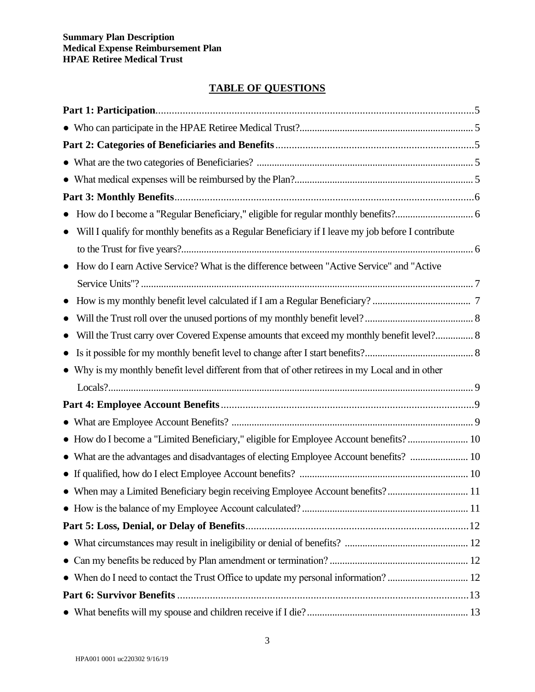# **TABLE OF QUESTIONS**

| $\bullet$                                                                                              |  |
|--------------------------------------------------------------------------------------------------------|--|
| Will I qualify for monthly benefits as a Regular Beneficiary if I leave my job before I contribute     |  |
|                                                                                                        |  |
| How do I earn Active Service? What is the difference between "Active Service" and "Active<br>$\bullet$ |  |
|                                                                                                        |  |
| $\bullet$                                                                                              |  |
|                                                                                                        |  |
| Will the Trust carry over Covered Expense amounts that exceed my monthly benefit level? 8<br>$\bullet$ |  |
| $\bullet$                                                                                              |  |
| • Why is my monthly benefit level different from that of other retirees in my Local and in other       |  |
|                                                                                                        |  |
|                                                                                                        |  |
|                                                                                                        |  |
| • How do I become a "Limited Beneficiary," eligible for Employee Account benefits? 10                  |  |
|                                                                                                        |  |
|                                                                                                        |  |
| • When may a Limited Beneficiary begin receiving Employee Account benefits? 11                         |  |
|                                                                                                        |  |
|                                                                                                        |  |
|                                                                                                        |  |
|                                                                                                        |  |
|                                                                                                        |  |
|                                                                                                        |  |
|                                                                                                        |  |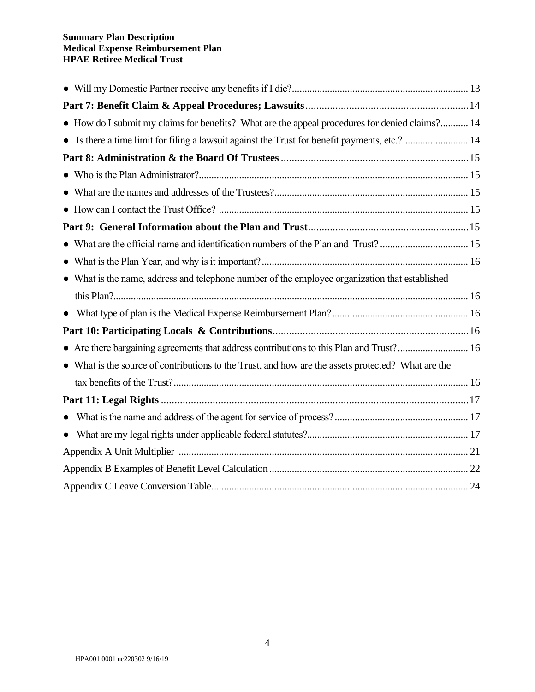#### **Summary Plan Description Medical Expense Reimbursement Plan HPAE Retiree Medical Trust**

| • How do I submit my claims for benefits? What are the appeal procedures for denied claims? 14     |  |
|----------------------------------------------------------------------------------------------------|--|
| • Is there a time limit for filing a lawsuit against the Trust for benefit payments, etc.? 14      |  |
|                                                                                                    |  |
|                                                                                                    |  |
|                                                                                                    |  |
|                                                                                                    |  |
|                                                                                                    |  |
|                                                                                                    |  |
|                                                                                                    |  |
| • What is the name, address and telephone number of the employee organization that established     |  |
|                                                                                                    |  |
|                                                                                                    |  |
|                                                                                                    |  |
| • Are there bargaining agreements that address contributions to this Plan and Trust? 16            |  |
| • What is the source of contributions to the Trust, and how are the assets protected? What are the |  |
|                                                                                                    |  |
|                                                                                                    |  |
|                                                                                                    |  |
|                                                                                                    |  |
|                                                                                                    |  |
|                                                                                                    |  |
|                                                                                                    |  |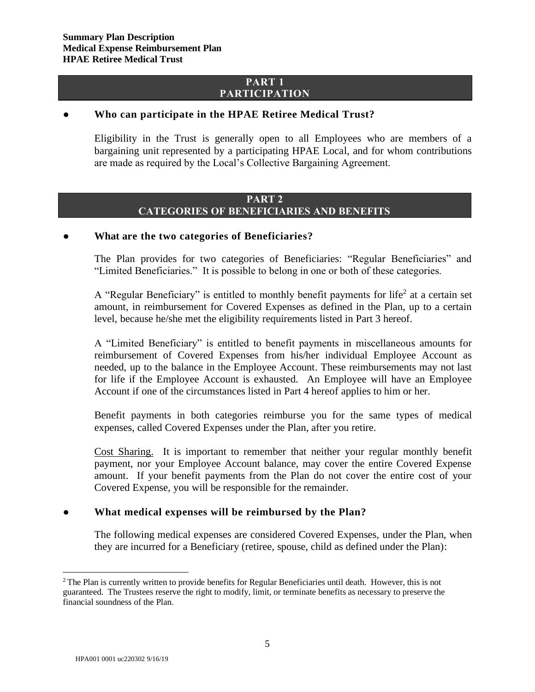## **PART 1 PARTICIPATION**

#### **● Who can participate in the HPAE Retiree Medical Trust?**

Eligibility in the Trust is generally open to all Employees who are members of a bargaining unit represented by a participating HPAE Local, and for whom contributions are made as required by the Local's Collective Bargaining Agreement.

## **PART 2 CATEGORIES OF BENEFICIARIES AND BENEFITS**

#### **● What are the two categories of Beneficiaries?**

The Plan provides for two categories of Beneficiaries: "Regular Beneficiaries" and "Limited Beneficiaries." It is possible to belong in one or both of these categories.

A "Regular Beneficiary" is entitled to monthly benefit payments for life<sup>2</sup> at a certain set amount, in reimbursement for Covered Expenses as defined in the Plan, up to a certain level, because he/she met the eligibility requirements listed in Part 3 hereof.

A "Limited Beneficiary" is entitled to benefit payments in miscellaneous amounts for reimbursement of Covered Expenses from his/her individual Employee Account as needed, up to the balance in the Employee Account. These reimbursements may not last for life if the Employee Account is exhausted. An Employee will have an Employee Account if one of the circumstances listed in Part 4 hereof applies to him or her.

Benefit payments in both categories reimburse you for the same types of medical expenses, called Covered Expenses under the Plan, after you retire.

Cost Sharing. It is important to remember that neither your regular monthly benefit payment, nor your Employee Account balance, may cover the entire Covered Expense amount. If your benefit payments from the Plan do not cover the entire cost of your Covered Expense, you will be responsible for the remainder.

## **● What medical expenses will be reimbursed by the Plan?**

The following medical expenses are considered Covered Expenses, under the Plan, when they are incurred for a Beneficiary (retiree, spouse, child as defined under the Plan):

<sup>&</sup>lt;sup>2</sup> The Plan is currently written to provide benefits for Regular Beneficiaries until death. However, this is not guaranteed. The Trustees reserve the right to modify, limit, or terminate benefits as necessary to preserve the financial soundness of the Plan.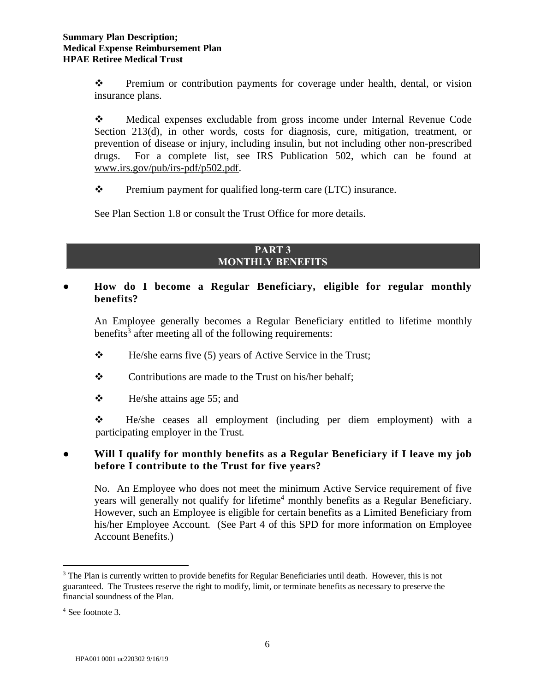❖ Premium or contribution payments for coverage under health, dental, or vision insurance plans.

❖ Medical expenses excludable from gross income under Internal Revenue Code Section 213(d), in other words, costs for diagnosis, cure, mitigation, treatment, or prevention of disease or injury, including insulin, but not including other non-prescribed drugs. For a complete list, see IRS Publication 502, which can be found at [www.irs.gov/pub/irs-pdf/p502.pdf.](http://www.irs.gov/pub/irs-pdf/p502.pdf)

❖ Premium payment for qualified long-term care (LTC) insurance.

See Plan Section 1.8 or consult the Trust Office for more details.

## **PART 3 MONTHLY BENEFITS**

## **● How do I become a Regular Beneficiary, eligible for regular monthly benefits?**

An Employee generally becomes a Regular Beneficiary entitled to lifetime monthly benefits<sup>3</sup> after meeting all of the following requirements:

- ❖ He/she earns five (5) years of Active Service in the Trust;
- ❖ Contributions are made to the Trust on his/her behalf;
- $\div$  He/she attains age 55; and

❖ He/she ceases all employment (including per diem employment) with a participating employer in the Trust.

## **● Will I qualify for monthly benefits as a Regular Beneficiary if I leave my job before I contribute to the Trust for five years?**

No. An Employee who does not meet the minimum Active Service requirement of five years will generally not qualify for lifetime<sup>4</sup> monthly benefits as a Regular Beneficiary. However, such an Employee is eligible for certain benefits as a Limited Beneficiary from his/her Employee Account. (See Part 4 of this SPD for more information on Employee Account Benefits.)

<sup>&</sup>lt;sup>3</sup> The Plan is currently written to provide benefits for Regular Beneficiaries until death. However, this is not guaranteed. The Trustees reserve the right to modify, limit, or terminate benefits as necessary to preserve the financial soundness of the Plan.

<sup>4</sup> See footnote 3.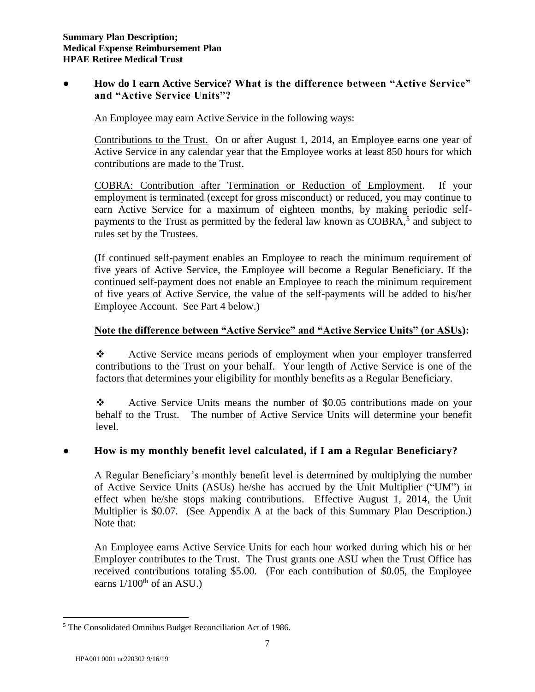## **● How do I earn Active Service? What is the difference between "Active Service" and "Active Service Units"?**

An Employee may earn Active Service in the following ways:

Contributions to the Trust. On or after August 1, 2014, an Employee earns one year of Active Service in any calendar year that the Employee works at least 850 hours for which contributions are made to the Trust.

COBRA: Contribution after Termination or Reduction of Employment. If your employment is terminated (except for gross misconduct) or reduced, you may continue to earn Active Service for a maximum of eighteen months, by making periodic selfpayments to the Trust as permitted by the federal law known as COBRA,<sup>5</sup> and subject to rules set by the Trustees.

(If continued self-payment enables an Employee to reach the minimum requirement of five years of Active Service, the Employee will become a Regular Beneficiary. If the continued self-payment does not enable an Employee to reach the minimum requirement of five years of Active Service, the value of the self-payments will be added to his/her Employee Account. See Part 4 below.)

## **Note the difference between "Active Service" and "Active Service Units" (or ASUs):**

❖ Active Service means periods of employment when your employer transferred contributions to the Trust on your behalf. Your length of Active Service is one of the factors that determines your eligibility for monthly benefits as a Regular Beneficiary.

❖ Active Service Units means the number of \$0.05 contributions made on your behalf to the Trust. The number of Active Service Units will determine your benefit level.

# ● **How is my monthly benefit level calculated, if I am a Regular Beneficiary?**

A Regular Beneficiary's monthly benefit level is determined by multiplying the number of Active Service Units (ASUs) he/she has accrued by the Unit Multiplier ("UM") in effect when he/she stops making contributions. Effective August 1, 2014, the Unit Multiplier is \$0.07. (See Appendix A at the back of this Summary Plan Description.) Note that:

An Employee earns Active Service Units for each hour worked during which his or her Employer contributes to the Trust. The Trust grants one ASU when the Trust Office has received contributions totaling \$5.00. (For each contribution of \$0.05, the Employee earns  $1/100<sup>th</sup>$  of an ASU.)

<sup>5</sup> The Consolidated Omnibus Budget Reconciliation Act of 1986.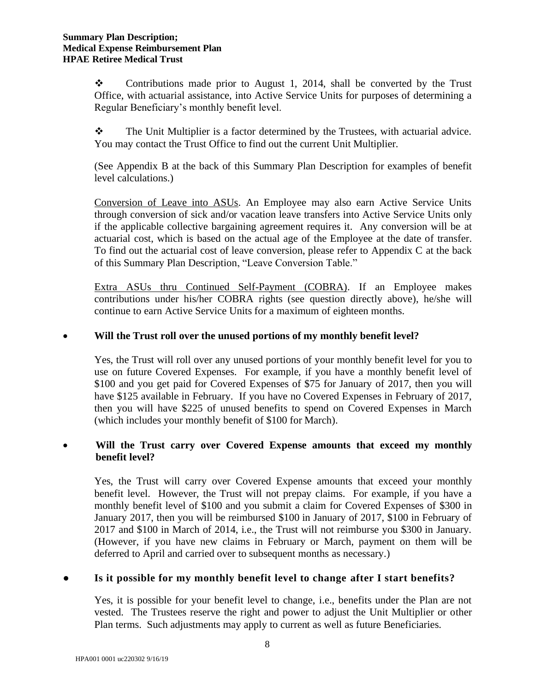❖ Contributions made prior to August 1, 2014, shall be converted by the Trust Office, with actuarial assistance, into Active Service Units for purposes of determining a Regular Beneficiary's monthly benefit level.

❖ The Unit Multiplier is a factor determined by the Trustees, with actuarial advice. You may contact the Trust Office to find out the current Unit Multiplier.

(See Appendix B at the back of this Summary Plan Description for examples of benefit level calculations.)

Conversion of Leave into ASUs. An Employee may also earn Active Service Units through conversion of sick and/or vacation leave transfers into Active Service Units only if the applicable collective bargaining agreement requires it. Any conversion will be at actuarial cost, which is based on the actual age of the Employee at the date of transfer. To find out the actuarial cost of leave conversion, please refer to Appendix C at the back of this Summary Plan Description, "Leave Conversion Table."

Extra ASUs thru Continued Self-Payment (COBRA). If an Employee makes contributions under his/her COBRA rights (see question directly above), he/she will continue to earn Active Service Units for a maximum of eighteen months.

## • **Will the Trust roll over the unused portions of my monthly benefit level?**

Yes, the Trust will roll over any unused portions of your monthly benefit level for you to use on future Covered Expenses. For example, if you have a monthly benefit level of \$100 and you get paid for Covered Expenses of \$75 for January of 2017, then you will have \$125 available in February. If you have no Covered Expenses in February of 2017, then you will have \$225 of unused benefits to spend on Covered Expenses in March (which includes your monthly benefit of \$100 for March).

## • **Will the Trust carry over Covered Expense amounts that exceed my monthly benefit level?**

Yes, the Trust will carry over Covered Expense amounts that exceed your monthly benefit level. However, the Trust will not prepay claims. For example, if you have a monthly benefit level of \$100 and you submit a claim for Covered Expenses of \$300 in January 2017, then you will be reimbursed \$100 in January of 2017, \$100 in February of 2017 and \$100 in March of 2014, i.e., the Trust will not reimburse you \$300 in January. (However, if you have new claims in February or March, payment on them will be deferred to April and carried over to subsequent months as necessary.)

## **● Is it possible for my monthly benefit level to change after I start benefits?**

Yes, it is possible for your benefit level to change, i.e., benefits under the Plan are not vested. The Trustees reserve the right and power to adjust the Unit Multiplier or other Plan terms. Such adjustments may apply to current as well as future Beneficiaries.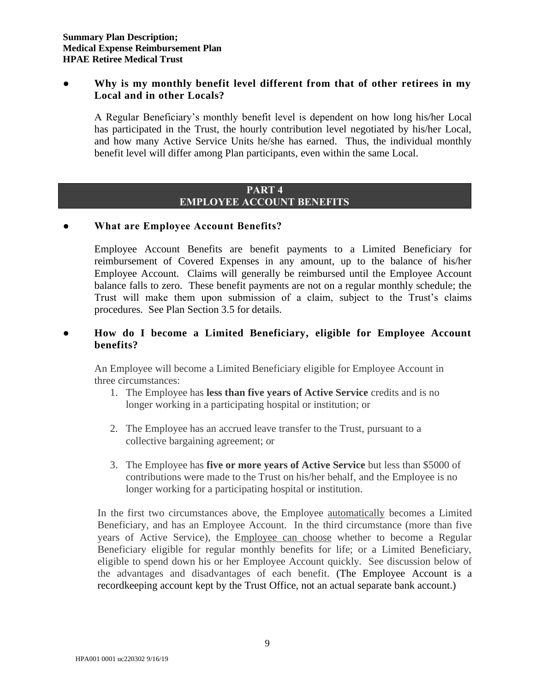## ● **Why is my monthly benefit level different from that of other retirees in my Local and in other Locals?**

A Regular Beneficiary's monthly benefit level is dependent on how long his/her Local has participated in the Trust, the hourly contribution level negotiated by his/her Local, and how many Active Service Units he/she has earned. Thus, the individual monthly benefit level will differ among Plan participants, even within the same Local.

#### **PART 4 EMPLOYEE ACCOUNT BENEFITS**

## ● **What are Employee Account Benefits?**

Employee Account Benefits are benefit payments to a Limited Beneficiary for reimbursement of Covered Expenses in any amount, up to the balance of his/her Employee Account. Claims will generally be reimbursed until the Employee Account balance falls to zero. These benefit payments are not on a regular monthly schedule; the Trust will make them upon submission of a claim, subject to the Trust's claims procedures. See Plan Section 3.5 for details.

# ● **How do I become a Limited Beneficiary, eligible for Employee Account benefits?**

An Employee will become a Limited Beneficiary eligible for Employee Account in three circumstances:

- 1. The Employee has **less than five years of Active Service** credits and is no longer working in a participating hospital or institution; or
- 2. The Employee has an accrued leave transfer to the Trust, pursuant to a collective bargaining agreement; or
- 3. The Employee has **five or more years of Active Service** but less than \$5000 of contributions were made to the Trust on his/her behalf, and the Employee is no longer working for a participating hospital or institution.

In the first two circumstances above, the Employee automatically becomes a Limited Beneficiary, and has an Employee Account. In the third circumstance (more than five years of Active Service), the Employee can choose whether to become a Regular Beneficiary eligible for regular monthly benefits for life; or a Limited Beneficiary, eligible to spend down his or her Employee Account quickly. See discussion below of the advantages and disadvantages of each benefit. (The Employee Account is a recordkeeping account kept by the Trust Office, not an actual separate bank account.)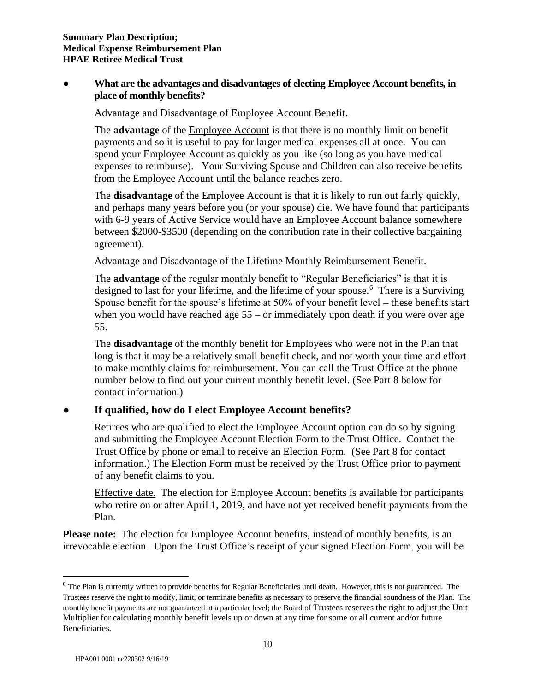## ● **What are the advantages and disadvantages of electing Employee Account benefits, in place of monthly benefits?**

## Advantage and Disadvantage of Employee Account Benefit.

The **advantage** of the Employee Account is that there is no monthly limit on benefit payments and so it is useful to pay for larger medical expenses all at once. You can spend your Employee Account as quickly as you like (so long as you have medical expenses to reimburse). Your Surviving Spouse and Children can also receive benefits from the Employee Account until the balance reaches zero.

The **disadvantage** of the Employee Account is that it is likely to run out fairly quickly, and perhaps many years before you (or your spouse) die. We have found that participants with 6-9 years of Active Service would have an Employee Account balance somewhere between \$2000-\$3500 (depending on the contribution rate in their collective bargaining agreement).

Advantage and Disadvantage of the Lifetime Monthly Reimbursement Benefit.

The **advantage** of the regular monthly benefit to "Regular Beneficiaries" is that it is designed to last for your lifetime, and the lifetime of your spouse.<sup>6</sup> There is a Surviving Spouse benefit for the spouse's lifetime at 50% of your benefit level – these benefits start when you would have reached age  $55 - or$  immediately upon death if you were over age 55.

The **disadvantage** of the monthly benefit for Employees who were not in the Plan that long is that it may be a relatively small benefit check, and not worth your time and effort to make monthly claims for reimbursement. You can call the Trust Office at the phone number below to find out your current monthly benefit level. (See Part 8 below for contact information.)

# ● **If qualified, how do I elect Employee Account benefits?**

Retirees who are qualified to elect the Employee Account option can do so by signing and submitting the Employee Account Election Form to the Trust Office. Contact the Trust Office by phone or email to receive an Election Form. (See Part 8 for contact information.) The Election Form must be received by the Trust Office prior to payment of any benefit claims to you.

Effective date. The election for Employee Account benefits is available for participants who retire on or after April 1, 2019, and have not yet received benefit payments from the Plan.

**Please note:** The election for Employee Account benefits, instead of monthly benefits, is an irrevocable election. Upon the Trust Office's receipt of your signed Election Form, you will be

 $6$  The Plan is currently written to provide benefits for Regular Beneficiaries until death. However, this is not guaranteed. The Trustees reserve the right to modify, limit, or terminate benefits as necessary to preserve the financial soundness of the Plan. The monthly benefit payments are not guaranteed at a particular level; the Board of Trustees reserves the right to adjust the Unit Multiplier for calculating monthly benefit levels up or down at any time for some or all current and/or future Beneficiaries.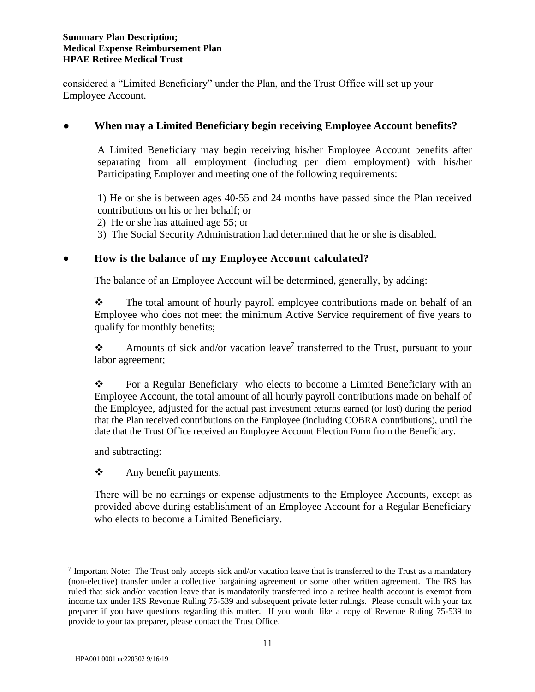considered a "Limited Beneficiary" under the Plan, and the Trust Office will set up your Employee Account.

## **● When may a Limited Beneficiary begin receiving Employee Account benefits?**

A Limited Beneficiary may begin receiving his/her Employee Account benefits after separating from all employment (including per diem employment) with his/her Participating Employer and meeting one of the following requirements:

1) He or she is between ages 40-55 and 24 months have passed since the Plan received contributions on his or her behalf; or

2) He or she has attained age 55; or

3) The Social Security Administration had determined that he or she is disabled.

# ● **How is the balance of my Employee Account calculated?**

The balance of an Employee Account will be determined, generally, by adding:

❖ The total amount of hourly payroll employee contributions made on behalf of an Employee who does not meet the minimum Active Service requirement of five years to qualify for monthly benefits;

Amounts of sick and/or vacation leave<sup>7</sup> transferred to the Trust, pursuant to your labor agreement;

❖ For a Regular Beneficiary who elects to become a Limited Beneficiary with an Employee Account, the total amount of all hourly payroll contributions made on behalf of the Employee, adjusted for the actual past investment returns earned (or lost) during the period that the Plan received contributions on the Employee (including COBRA contributions), until the date that the Trust Office received an Employee Account Election Form from the Beneficiary.

and subtracting:

❖ Any benefit payments.

There will be no earnings or expense adjustments to the Employee Accounts, except as provided above during establishment of an Employee Account for a Regular Beneficiary who elects to become a Limited Beneficiary.

<sup>&</sup>lt;sup>7</sup> Important Note: The Trust only accepts sick and/or vacation leave that is transferred to the Trust as a mandatory (non-elective) transfer under a collective bargaining agreement or some other written agreement. The IRS has ruled that sick and/or vacation leave that is mandatorily transferred into a retiree health account is exempt from income tax under IRS Revenue Ruling 75-539 and subsequent private letter rulings. Please consult with your tax preparer if you have questions regarding this matter. If you would like a copy of Revenue Ruling 75-539 to provide to your tax preparer, please contact the Trust Office.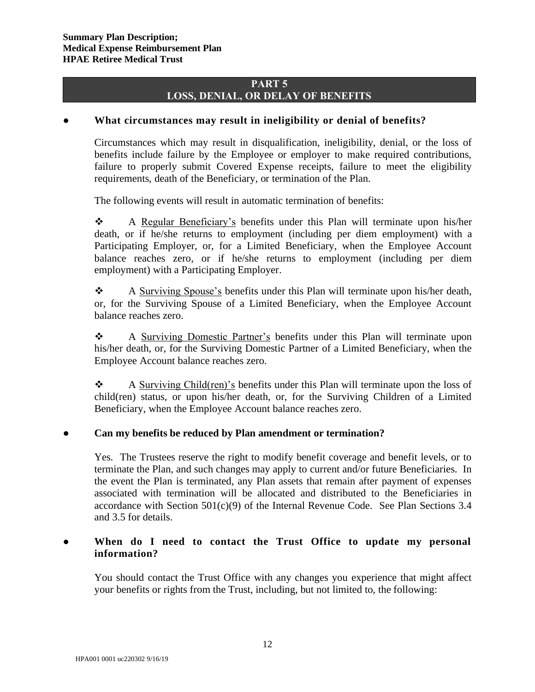## **PART 5 LOSS, DENIAL, OR DELAY OF BENEFITS**

## ● **What circumstances may result in ineligibility or denial of benefits?**

Circumstances which may result in disqualification, ineligibility, denial, or the loss of benefits include failure by the Employee or employer to make required contributions, failure to properly submit Covered Expense receipts, failure to meet the eligibility requirements, death of the Beneficiary, or termination of the Plan.

The following events will result in automatic termination of benefits:

❖ A Regular Beneficiary's benefits under this Plan will terminate upon his/her death, or if he/she returns to employment (including per diem employment) with a Participating Employer, or, for a Limited Beneficiary, when the Employee Account balance reaches zero, or if he/she returns to employment (including per diem employment) with a Participating Employer.

❖ A Surviving Spouse's benefits under this Plan will terminate upon his/her death, or, for the Surviving Spouse of a Limited Beneficiary, when the Employee Account balance reaches zero.

❖ A Surviving Domestic Partner's benefits under this Plan will terminate upon his/her death, or, for the Surviving Domestic Partner of a Limited Beneficiary, when the Employee Account balance reaches zero.

❖ A Surviving Child(ren)'s benefits under this Plan will terminate upon the loss of child(ren) status, or upon his/her death, or, for the Surviving Children of a Limited Beneficiary, when the Employee Account balance reaches zero.

## ● **Can my benefits be reduced by Plan amendment or termination?**

Yes. The Trustees reserve the right to modify benefit coverage and benefit levels, or to terminate the Plan, and such changes may apply to current and/or future Beneficiaries. In the event the Plan is terminated, any Plan assets that remain after payment of expenses associated with termination will be allocated and distributed to the Beneficiaries in accordance with Section  $501(c)(9)$  of the Internal Revenue Code. See Plan Sections 3.4 and 3.5 for details.

## When do I need to contact the Trust Office to update my personal **information?**

You should contact the Trust Office with any changes you experience that might affect your benefits or rights from the Trust, including, but not limited to, the following: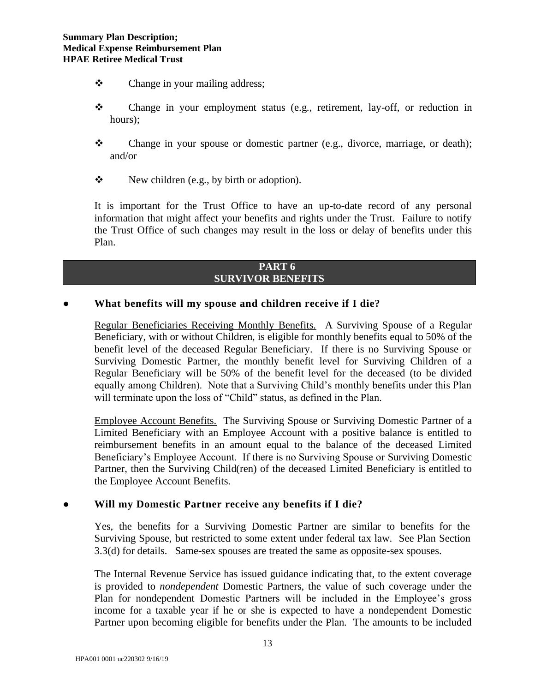- ❖ Change in your mailing address;
- ❖ Change in your employment status (e.g., retirement, lay-off, or reduction in hours);
- ❖ Change in your spouse or domestic partner (e.g., divorce, marriage, or death); and/or
- ❖ New children (e.g., by birth or adoption).

It is important for the Trust Office to have an up-to-date record of any personal information that might affect your benefits and rights under the Trust. Failure to notify the Trust Office of such changes may result in the loss or delay of benefits under this Plan.

#### **PART 6 SURVIVOR BENEFITS**

#### **● What benefits will my spouse and children receive if I die?**

Regular Beneficiaries Receiving Monthly Benefits. A Surviving Spouse of a Regular Beneficiary, with or without Children, is eligible for monthly benefits equal to 50% of the benefit level of the deceased Regular Beneficiary. If there is no Surviving Spouse or Surviving Domestic Partner, the monthly benefit level for Surviving Children of a Regular Beneficiary will be 50% of the benefit level for the deceased (to be divided equally among Children). Note that a Surviving Child's monthly benefits under this Plan will terminate upon the loss of "Child" status, as defined in the Plan.

Employee Account Benefits. The Surviving Spouse or Surviving Domestic Partner of a Limited Beneficiary with an Employee Account with a positive balance is entitled to reimbursement benefits in an amount equal to the balance of the deceased Limited Beneficiary's Employee Account. If there is no Surviving Spouse or Surviving Domestic Partner, then the Surviving Child(ren) of the deceased Limited Beneficiary is entitled to the Employee Account Benefits.

#### **● Will my Domestic Partner receive any benefits if I die?**

Yes, the benefits for a Surviving Domestic Partner are similar to benefits for the Surviving Spouse, but restricted to some extent under federal tax law. See Plan Section 3.3(d) for details. Same-sex spouses are treated the same as opposite-sex spouses.

The Internal Revenue Service has issued guidance indicating that, to the extent coverage is provided to *nondependent* Domestic Partners, the value of such coverage under the Plan for nondependent Domestic Partners will be included in the Employee's gross income for a taxable year if he or she is expected to have a nondependent Domestic Partner upon becoming eligible for benefits under the Plan. The amounts to be included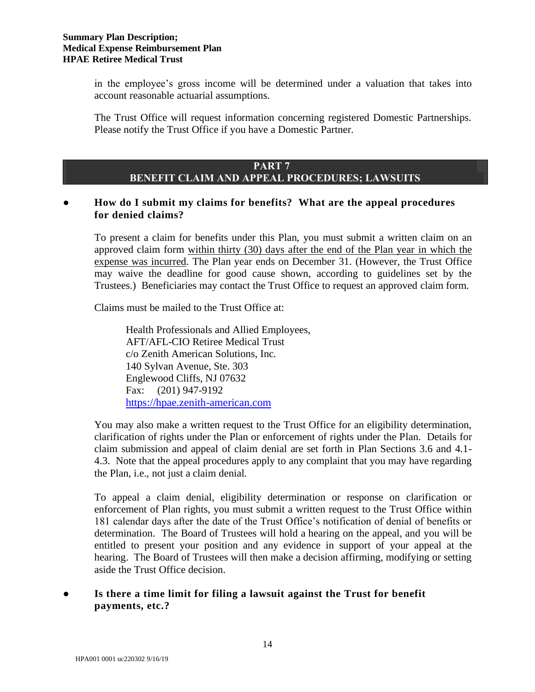in the employee's gross income will be determined under a valuation that takes into account reasonable actuarial assumptions.

The Trust Office will request information concerning registered Domestic Partnerships. Please notify the Trust Office if you have a Domestic Partner.

## **PART 7 BENEFIT CLAIM AND APPEAL PROCEDURES; LAWSUITS**

# ● **How do I submit my claims for benefits? What are the appeal procedures for denied claims?**

To present a claim for benefits under this Plan, you must submit a written claim on an approved claim form within thirty (30) days after the end of the Plan year in which the expense was incurred. The Plan year ends on December 31. (However, the Trust Office may waive the deadline for good cause shown, according to guidelines set by the Trustees.) Beneficiaries may contact the Trust Office to request an approved claim form.

Claims must be mailed to the Trust Office at:

Health Professionals and Allied Employees, AFT/AFL-CIO Retiree Medical Trust c/o Zenith American Solutions, Inc. 140 Sylvan Avenue, Ste. 303 Englewood Cliffs, NJ 07632 Fax: (201) 947-9192 [https://hpae.zenith-american.com](https://hpae.zenith-american.com/)

You may also make a written request to the Trust Office for an eligibility determination, clarification of rights under the Plan or enforcement of rights under the Plan. Details for claim submission and appeal of claim denial are set forth in Plan Sections 3.6 and 4.1- 4.3. Note that the appeal procedures apply to any complaint that you may have regarding the Plan, i.e., not just a claim denial.

To appeal a claim denial, eligibility determination or response on clarification or enforcement of Plan rights, you must submit a written request to the Trust Office within 181 calendar days after the date of the Trust Office's notification of denial of benefits or determination. The Board of Trustees will hold a hearing on the appeal, and you will be entitled to present your position and any evidence in support of your appeal at the hearing. The Board of Trustees will then make a decision affirming, modifying or setting aside the Trust Office decision.

# Is there a time limit for filing a lawsuit against the Trust for benefit **payments, etc.?**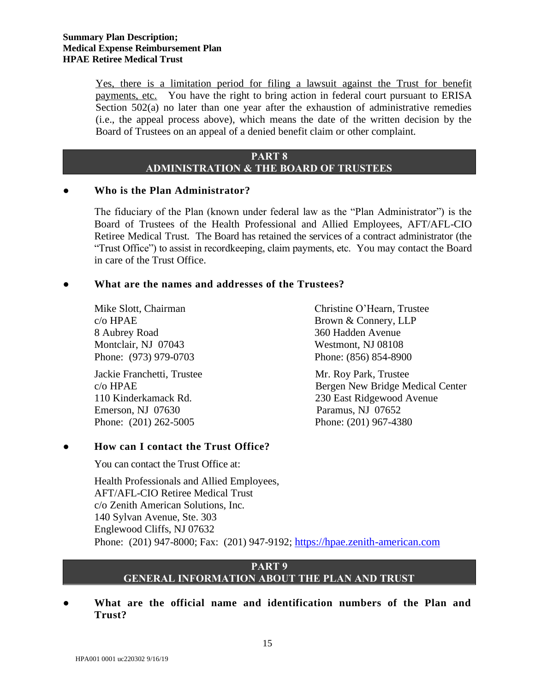Yes, there is a limitation period for filing a lawsuit against the Trust for benefit payments, etc. You have the right to bring action in federal court pursuant to ERISA Section 502(a) no later than one year after the exhaustion of administrative remedies (i.e., the appeal process above), which means the date of the written decision by the Board of Trustees on an appeal of a denied benefit claim or other complaint.

## **PART 8 ADMINISTRATION & THE BOARD OF TRUSTEES**

## ● **Who is the Plan Administrator?**

The fiduciary of the Plan (known under federal law as the "Plan Administrator") is the Board of Trustees of the Health Professional and Allied Employees, AFT/AFL-CIO Retiree Medical Trust. The Board has retained the services of a contract administrator (the "Trust Office") to assist in recordkeeping, claim payments, etc. You may contact the Board in care of the Trust Office.

## **● What are the names and addresses of the Trustees?**

8 Aubrey Road 360 Hadden Avenue Montclair, NJ 07043 Westmont, NJ 08108 Phone: (973) 979-0703 Phone: (856) 854-8900

Jackie Franchetti, Trustee Mr. Roy Park, Trustee Emerson, NJ 07630 Paramus, NJ 07652 Phone: (201) 262-5005 Phone: (201) 967-4380

# ● **How can I contact the Trust Office?**

You can contact the Trust Office at:

Mike Slott, Chairman Christine O'Hearn, Trustee c/o HPAE Brown & Connery, LLP

c/o HPAE Bergen New Bridge Medical Center 110 Kinderkamack Rd. 230 East Ridgewood Avenue

Health Professionals and Allied Employees, AFT/AFL-CIO Retiree Medical Trust c/o Zenith American Solutions, Inc. 140 Sylvan Avenue, Ste. 303 Englewood Cliffs, NJ 07632 Phone: (201) 947-8000; Fax: (201) 947-9192; [https://hpae.zenith-american.com](https://hpae.zenith-american.com/)

#### **PART 9 GENERAL INFORMATION ABOUT THE PLAN AND TRUST**

● **What are the official name and identification numbers of the Plan and Trust?**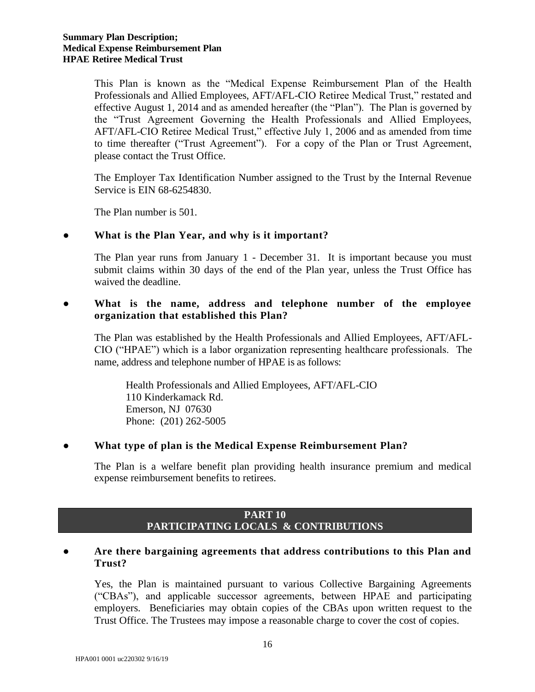This Plan is known as the "Medical Expense Reimbursement Plan of the Health Professionals and Allied Employees, AFT/AFL-CIO Retiree Medical Trust," restated and effective August 1, 2014 and as amended hereafter (the "Plan"). The Plan is governed by the "Trust Agreement Governing the Health Professionals and Allied Employees, AFT/AFL-CIO Retiree Medical Trust," effective July 1, 2006 and as amended from time to time thereafter ("Trust Agreement"). For a copy of the Plan or Trust Agreement, please contact the Trust Office.

The Employer Tax Identification Number assigned to the Trust by the Internal Revenue Service is EIN 68-6254830.

The Plan number is 501.

## ● **What is the Plan Year, and why is it important?**

The Plan year runs from January 1 - December 31. It is important because you must submit claims within 30 days of the end of the Plan year, unless the Trust Office has waived the deadline.

## ● **What is the name, address and telephone number of the employee organization that established this Plan?**

The Plan was established by the Health Professionals and Allied Employees, AFT/AFL-CIO ("HPAE") which is a labor organization representing healthcare professionals. The name, address and telephone number of HPAE is as follows:

Health Professionals and Allied Employees, AFT/AFL-CIO 110 Kinderkamack Rd. Emerson, NJ 07630 Phone: (201) 262-5005

## ● **What type of plan is the Medical Expense Reimbursement Plan?**

The Plan is a welfare benefit plan providing health insurance premium and medical expense reimbursement benefits to retirees.

#### **PART 10 PARTICIPATING LOCALS & CONTRIBUTIONS**

## ● **Are there bargaining agreements that address contributions to this Plan and Trust?**

Yes, the Plan is maintained pursuant to various Collective Bargaining Agreements ("CBAs"), and applicable successor agreements, between HPAE and participating employers. Beneficiaries may obtain copies of the CBAs upon written request to the Trust Office. The Trustees may impose a reasonable charge to cover the cost of copies.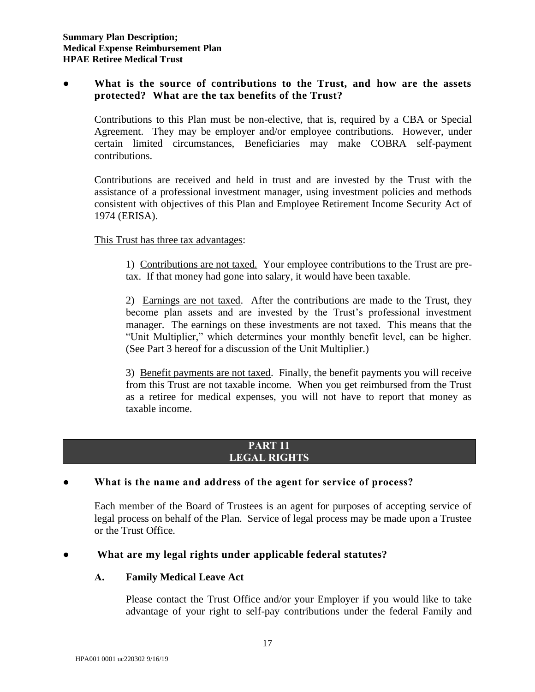## ● **What is the source of contributions to the Trust, and how are the assets protected? What are the tax benefits of the Trust?**

Contributions to this Plan must be non-elective, that is, required by a CBA or Special Agreement. They may be employer and/or employee contributions. However, under certain limited circumstances, Beneficiaries may make COBRA self-payment contributions.

Contributions are received and held in trust and are invested by the Trust with the assistance of a professional investment manager, using investment policies and methods consistent with objectives of this Plan and Employee Retirement Income Security Act of 1974 (ERISA).

## This Trust has three tax advantages:

1) Contributions are not taxed. Your employee contributions to the Trust are pretax. If that money had gone into salary, it would have been taxable.

2) Earnings are not taxed. After the contributions are made to the Trust, they become plan assets and are invested by the Trust's professional investment manager. The earnings on these investments are not taxed. This means that the "Unit Multiplier," which determines your monthly benefit level, can be higher. (See Part 3 hereof for a discussion of the Unit Multiplier.)

3) Benefit payments are not taxed. Finally, the benefit payments you will receive from this Trust are not taxable income. When you get reimbursed from the Trust as a retiree for medical expenses, you will not have to report that money as taxable income.

#### **PART 11 LEGAL RIGHTS**

## What is the name and address of the agent for service of process?

Each member of the Board of Trustees is an agent for purposes of accepting service of legal process on behalf of the Plan. Service of legal process may be made upon a Trustee or the Trust Office.

## What are my legal rights under applicable federal statutes?

#### **A. Family Medical Leave Act**

Please contact the Trust Office and/or your Employer if you would like to take advantage of your right to self-pay contributions under the federal Family and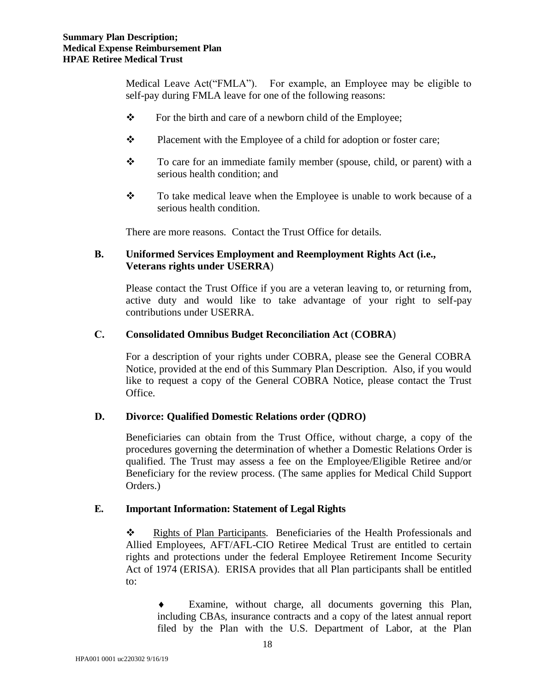Medical Leave Act("FMLA"). For example, an Employee may be eligible to self-pay during FMLA leave for one of the following reasons:

- ❖ For the birth and care of a newborn child of the Employee;
- ❖ Placement with the Employee of a child for adoption or foster care;
- $\mathbf{\hat{P}}$  To care for an immediate family member (spouse, child, or parent) with a serious health condition; and
- ❖ To take medical leave when the Employee is unable to work because of a serious health condition.

There are more reasons. Contact the Trust Office for details.

## **B. Uniformed Services Employment and Reemployment Rights Act (i.e., Veterans rights under USERRA**)

Please contact the Trust Office if you are a veteran leaving to, or returning from, active duty and would like to take advantage of your right to self-pay contributions under USERRA.

#### **C. Consolidated Omnibus Budget Reconciliation Act** (**COBRA**)

For a description of your rights under COBRA, please see the General COBRA Notice, provided at the end of this Summary Plan Description. Also, if you would like to request a copy of the General COBRA Notice, please contact the Trust Office.

#### **D. Divorce: Qualified Domestic Relations order (QDRO)**

Beneficiaries can obtain from the Trust Office, without charge, a copy of the procedures governing the determination of whether a Domestic Relations Order is qualified. The Trust may assess a fee on the Employee/Eligible Retiree and/or Beneficiary for the review process. (The same applies for Medical Child Support Orders.)

#### **E. Important Information: Statement of Legal Rights**

❖ Rights of Plan Participants. Beneficiaries of the Health Professionals and Allied Employees, AFT/AFL-CIO Retiree Medical Trust are entitled to certain rights and protections under the federal Employee Retirement Income Security Act of 1974 (ERISA). ERISA provides that all Plan participants shall be entitled to:

 Examine, without charge, all documents governing this Plan, including CBAs, insurance contracts and a copy of the latest annual report filed by the Plan with the U.S. Department of Labor, at the Plan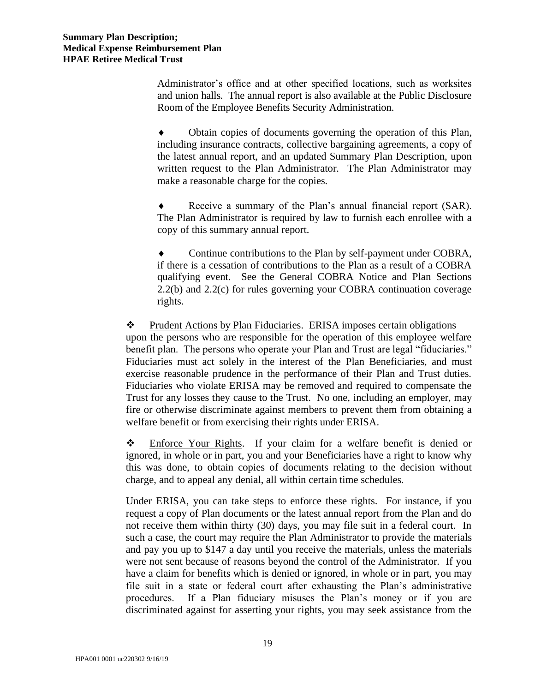Administrator's office and at other specified locations, such as worksites and union halls. The annual report is also available at the Public Disclosure Room of the Employee Benefits Security Administration.

 Obtain copies of documents governing the operation of this Plan, including insurance contracts, collective bargaining agreements, a copy of the latest annual report, and an updated Summary Plan Description, upon written request to the Plan Administrator. The Plan Administrator may make a reasonable charge for the copies.

 Receive a summary of the Plan's annual financial report (SAR). The Plan Administrator is required by law to furnish each enrollee with a copy of this summary annual report.

 Continue contributions to the Plan by self-payment under COBRA, if there is a cessation of contributions to the Plan as a result of a COBRA qualifying event. See the General COBRA Notice and Plan Sections 2.2(b) and 2.2(c) for rules governing your COBRA continuation coverage rights.

❖ Prudent Actions by Plan Fiduciaries. ERISA imposes certain obligations upon the persons who are responsible for the operation of this employee welfare benefit plan. The persons who operate your Plan and Trust are legal "fiduciaries." Fiduciaries must act solely in the interest of the Plan Beneficiaries, and must exercise reasonable prudence in the performance of their Plan and Trust duties. Fiduciaries who violate ERISA may be removed and required to compensate the Trust for any losses they cause to the Trust. No one, including an employer, may fire or otherwise discriminate against members to prevent them from obtaining a welfare benefit or from exercising their rights under ERISA.

❖ Enforce Your Rights. If your claim for a welfare benefit is denied or ignored, in whole or in part, you and your Beneficiaries have a right to know why this was done, to obtain copies of documents relating to the decision without charge, and to appeal any denial, all within certain time schedules.

Under ERISA, you can take steps to enforce these rights. For instance, if you request a copy of Plan documents or the latest annual report from the Plan and do not receive them within thirty (30) days, you may file suit in a federal court. In such a case, the court may require the Plan Administrator to provide the materials and pay you up to \$147 a day until you receive the materials, unless the materials were not sent because of reasons beyond the control of the Administrator. If you have a claim for benefits which is denied or ignored, in whole or in part, you may file suit in a state or federal court after exhausting the Plan's administrative procedures. If a Plan fiduciary misuses the Plan's money or if you are discriminated against for asserting your rights, you may seek assistance from the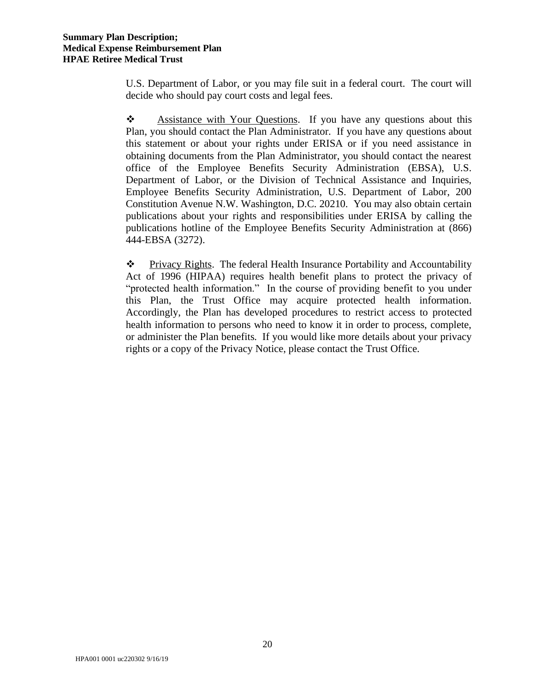U.S. Department of Labor, or you may file suit in a federal court. The court will decide who should pay court costs and legal fees.

❖ Assistance with Your Questions. If you have any questions about this Plan, you should contact the Plan Administrator. If you have any questions about this statement or about your rights under ERISA or if you need assistance in obtaining documents from the Plan Administrator, you should contact the nearest office of the Employee Benefits Security Administration (EBSA), U.S. Department of Labor, or the Division of Technical Assistance and Inquiries, Employee Benefits Security Administration, U.S. Department of Labor, 200 Constitution Avenue N.W. Washington, D.C. 20210. You may also obtain certain publications about your rights and responsibilities under ERISA by calling the publications hotline of the Employee Benefits Security Administration at (866) 444-EBSA (3272).

❖ Privacy Rights. The federal Health Insurance Portability and Accountability Act of 1996 (HIPAA) requires health benefit plans to protect the privacy of "protected health information." In the course of providing benefit to you under this Plan, the Trust Office may acquire protected health information. Accordingly, the Plan has developed procedures to restrict access to protected health information to persons who need to know it in order to process, complete, or administer the Plan benefits. If you would like more details about your privacy rights or a copy of the Privacy Notice, please contact the Trust Office.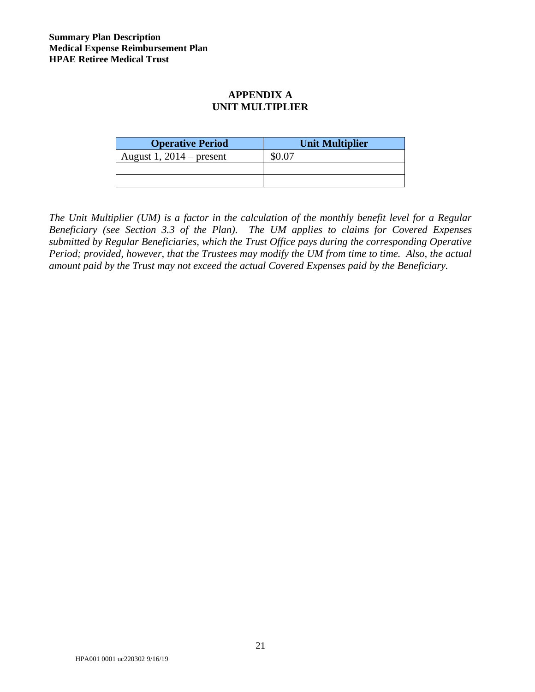# **APPENDIX A UNIT MULTIPLIER**

| <b>Operative Period</b>    | <b>Unit Multiplier</b> |
|----------------------------|------------------------|
| August 1, $2014$ – present |                        |
|                            |                        |
|                            |                        |

*The Unit Multiplier (UM) is a factor in the calculation of the monthly benefit level for a Regular Beneficiary (see Section 3.3 of the Plan). The UM applies to claims for Covered Expenses submitted by Regular Beneficiaries, which the Trust Office pays during the corresponding Operative Period; provided, however, that the Trustees may modify the UM from time to time. Also, the actual amount paid by the Trust may not exceed the actual Covered Expenses paid by the Beneficiary.*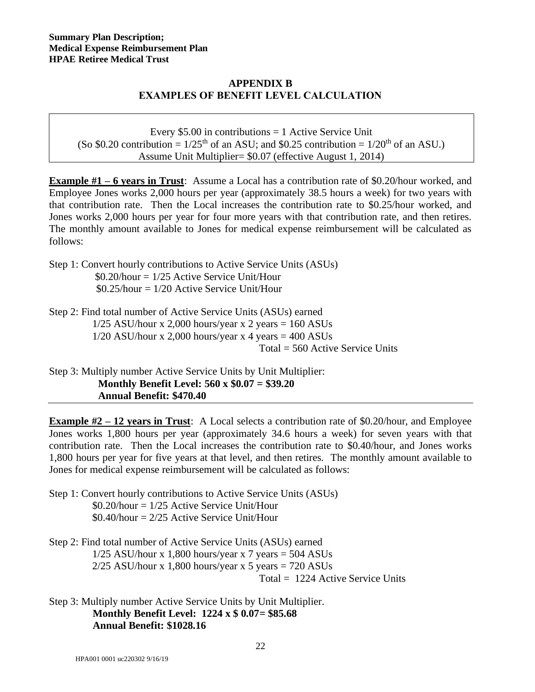## **APPENDIX B EXAMPLES OF BENEFIT LEVEL CALCULATION**

Every  $$5.00$  in contributions = 1 Active Service Unit (So \$0.20 contribution =  $1/25<sup>th</sup>$  of an ASU; and \$0.25 contribution =  $1/20<sup>th</sup>$  of an ASU.) Assume Unit Multiplier= \$0.07 (effective August 1, 2014)

**Example #1 – 6 years in Trust**: Assume a Local has a contribution rate of \$0.20/hour worked, and Employee Jones works 2,000 hours per year (approximately 38.5 hours a week) for two years with that contribution rate. Then the Local increases the contribution rate to \$0.25/hour worked, and Jones works 2,000 hours per year for four more years with that contribution rate, and then retires. The monthly amount available to Jones for medical expense reimbursement will be calculated as follows:

Step 1: Convert hourly contributions to Active Service Units (ASUs)  $$0.20/h$ our = 1/25 Active Service Unit/Hour  $$0.25/h$ our = 1/20 Active Service Unit/Hour

Step 2: Find total number of Active Service Units (ASUs) earned  $1/25$  ASU/hour x 2,000 hours/year x 2 years = 160 ASUs  $1/20$  ASU/hour x 2,000 hours/year x 4 years = 400 ASUs Total = 560 Active Service Units

Step 3: Multiply number Active Service Units by Unit Multiplier: **Monthly Benefit Level: 560 x \$0.07 = \$39.20 Annual Benefit: \$470.40**

**Example #2 – 12 years in Trust**: A Local selects a contribution rate of \$0.20/hour, and Employee Jones works 1,800 hours per year (approximately 34.6 hours a week) for seven years with that contribution rate. Then the Local increases the contribution rate to \$0.40/hour, and Jones works 1,800 hours per year for five years at that level, and then retires. The monthly amount available to Jones for medical expense reimbursement will be calculated as follows:

Step 1: Convert hourly contributions to Active Service Units (ASUs)  $$0.20/h$ our =  $1/25$  Active Service Unit/Hour  $$0.40/h$ our = 2/25 Active Service Unit/Hour

Step 2: Find total number of Active Service Units (ASUs) earned  $1/25$  ASU/hour x 1,800 hours/year x 7 years = 504 ASUs  $2/25$  ASU/hour x 1,800 hours/year x 5 years = 720 ASUs

Total = 1224 Active Service Units

Step 3: Multiply number Active Service Units by Unit Multiplier. **Monthly Benefit Level: 1224 x \$ 0.07= \$85.68 Annual Benefit: \$1028.16**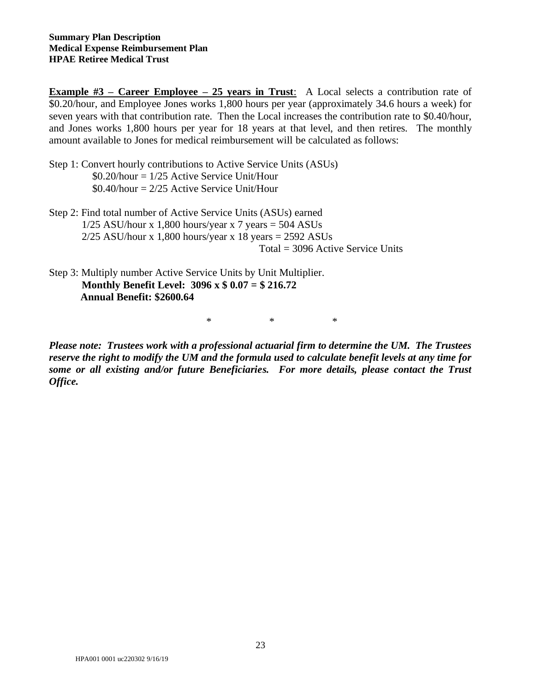**Example #3 – Career Employee – 25 years in Trust:** A Local selects a contribution rate of \$0.20/hour, and Employee Jones works 1,800 hours per year (approximately 34.6 hours a week) for seven years with that contribution rate. Then the Local increases the contribution rate to \$0.40/hour, and Jones works 1,800 hours per year for 18 years at that level, and then retires. The monthly amount available to Jones for medical reimbursement will be calculated as follows:

- Step 1: Convert hourly contributions to Active Service Units (ASUs)  $$0.20$ /hour =  $1/25$  Active Service Unit/Hour  $$0.40/h$ our = 2/25 Active Service Unit/Hour
- Step 2: Find total number of Active Service Units (ASUs) earned  $1/25$  ASU/hour x 1,800 hours/year x 7 years = 504 ASUs  $2/25$  ASU/hour x 1,800 hours/year x 18 years = 2592 ASUs Total = 3096 Active Service Units
- Step 3: Multiply number Active Service Units by Unit Multiplier. **Monthly Benefit Level: 3096 x \$ 0.07 = \$ 216.72 Annual Benefit: \$2600.64**

\* \* \*

*Please note: Trustees work with a professional actuarial firm to determine the UM. The Trustees reserve the right to modify the UM and the formula used to calculate benefit levels at any time for some or all existing and/or future Beneficiaries. For more details, please contact the Trust Office.*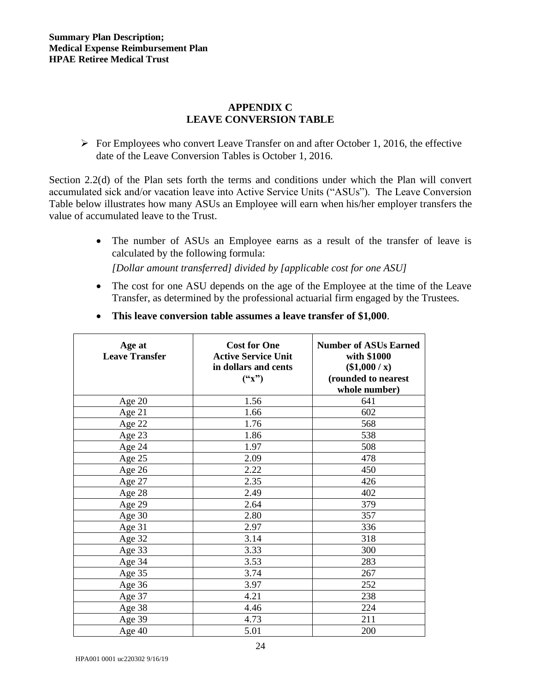## **APPENDIX C LEAVE CONVERSION TABLE**

 $\triangleright$  For Employees who convert Leave Transfer on and after October 1, 2016, the effective date of the Leave Conversion Tables is October 1, 2016.

Section 2.2(d) of the Plan sets forth the terms and conditions under which the Plan will convert accumulated sick and/or vacation leave into Active Service Units ("ASUs"). The Leave Conversion Table below illustrates how many ASUs an Employee will earn when his/her employer transfers the value of accumulated leave to the Trust.

- The number of ASUs an Employee earns as a result of the transfer of leave is calculated by the following formula: *[Dollar amount transferred] divided by [applicable cost for one ASU]*
- The cost for one ASU depends on the age of the Employee at the time of the Leave Transfer, as determined by the professional actuarial firm engaged by the Trustees.

| Age at<br><b>Leave Transfer</b> | <b>Cost for One</b><br><b>Active Service Unit</b><br>in dollars and cents<br>$(*x")$ | <b>Number of ASUs Earned</b><br>with \$1000<br>$(\$1,000 / x)$<br>(rounded to nearest<br>whole number) |
|---------------------------------|--------------------------------------------------------------------------------------|--------------------------------------------------------------------------------------------------------|
| Age $20$                        | 1.56                                                                                 | 641                                                                                                    |
| Age 21                          | 1.66                                                                                 | 602                                                                                                    |
| Age 22                          | 1.76                                                                                 | 568                                                                                                    |
| Age 23                          | 1.86                                                                                 | 538                                                                                                    |
| Age 24                          | 1.97                                                                                 | 508                                                                                                    |
| Age 25                          | 2.09                                                                                 | 478                                                                                                    |
| Age 26                          | 2.22                                                                                 | 450                                                                                                    |
| Age 27                          | 2.35                                                                                 | 426                                                                                                    |
| Age 28                          | 2.49                                                                                 | 402                                                                                                    |
| Age 29                          | 2.64                                                                                 | 379                                                                                                    |
| Age $30$                        | 2.80                                                                                 | 357                                                                                                    |
| Age 31                          | 2.97                                                                                 | 336                                                                                                    |
| Age 32                          | 3.14                                                                                 | 318                                                                                                    |
| Age 33                          | 3.33                                                                                 | 300                                                                                                    |
| Age 34                          | 3.53                                                                                 | 283                                                                                                    |
| Age 35                          | 3.74                                                                                 | 267                                                                                                    |
| Age 36                          | 3.97                                                                                 | 252                                                                                                    |
| Age 37                          | 4.21                                                                                 | 238                                                                                                    |
| Age 38                          | 4.46                                                                                 | 224                                                                                                    |
| Age 39                          | 4.73                                                                                 | 211                                                                                                    |
| Age $40$                        | 5.01                                                                                 | 200                                                                                                    |

• **This leave conversion table assumes a leave transfer of \$1,000**.